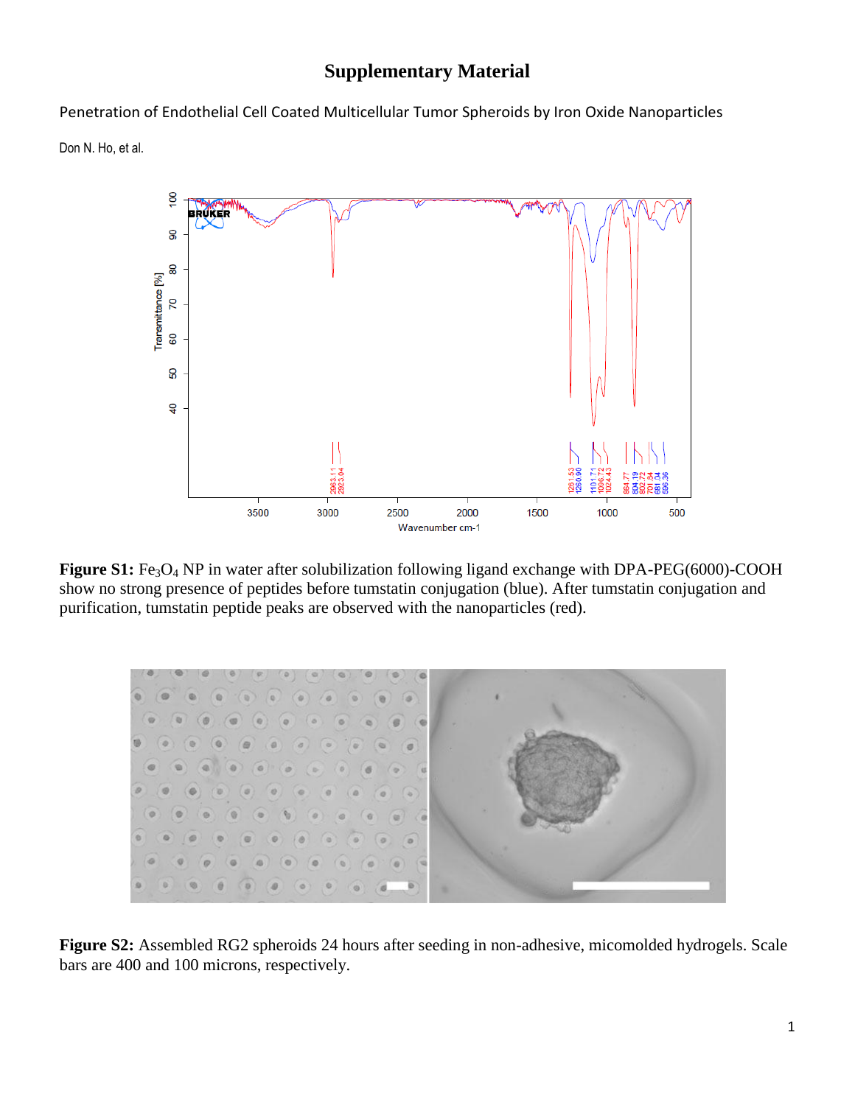## **Supplementary Material**

Penetration of Endothelial Cell Coated Multicellular Tumor Spheroids by Iron Oxide Nanoparticles

Don N. Ho, et al.



**Figure S1:** Fe<sub>3</sub>O<sub>4</sub> NP in water after solubilization following ligand exchange with DPA-PEG(6000)-COOH show no strong presence of peptides before tumstatin conjugation (blue). After tumstatin conjugation and purification, tumstatin peptide peaks are observed with the nanoparticles (red).

**Figure S2:** Assembled RG2 spheroids 24 hours after seeding in non-adhesive, micomolded hydrogels. Scale bars are 400 and 100 microns, respectively.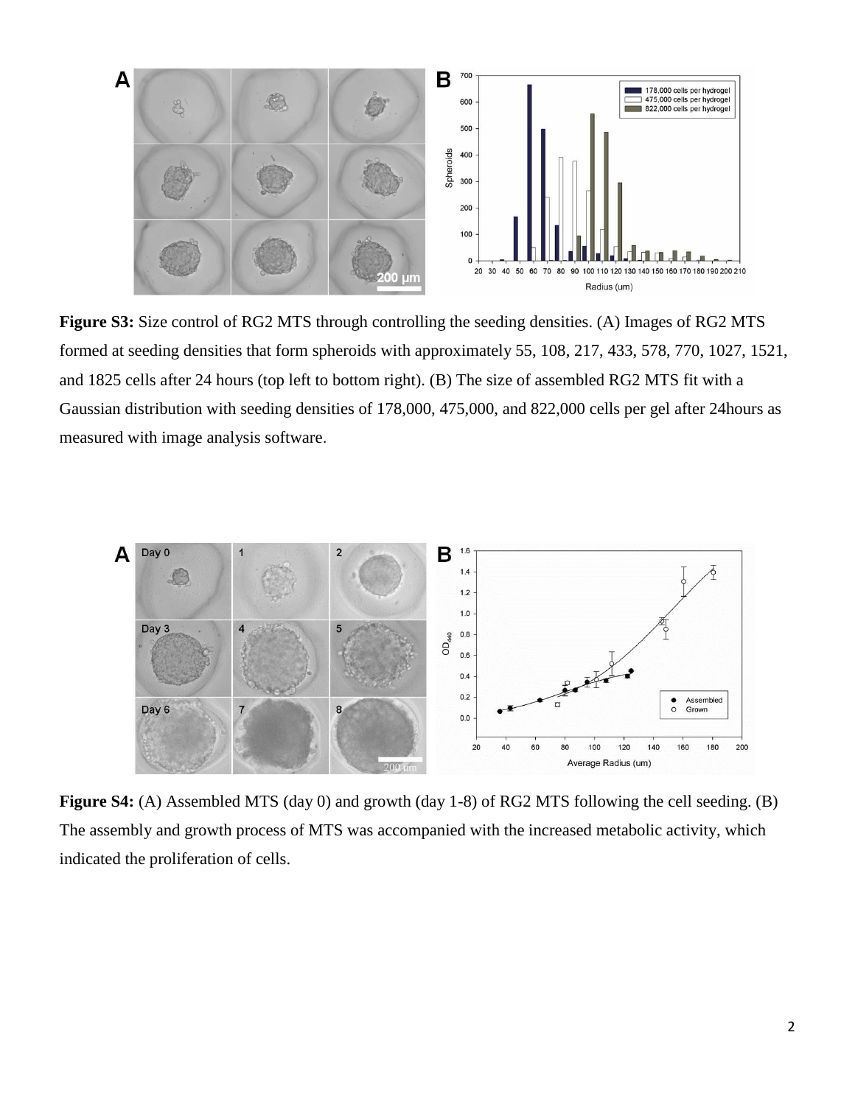

**Figure S3:** Size control of RG2 MTS through controlling the seeding densities. (A) Images of RG2 MTS formed at seeding densities that form spheroids with approximately 55, 108, 217, 433, 578, 770, 1027, 1521, and 1825 cells after 24 hours (top left to bottom right). (B) The size of assembled RG2 MTS fit with a Gaussian distribution with seeding densities of 178,000, 475,000, and 822,000 cells per gel after 24hours as measured with image analysis software.



**Figure S4:** (A) Assembled MTS (day 0) and growth (day 1-8) of RG2 MTS following the cell seeding. (B) The assembly and growth process of MTS was accompanied with the increased metabolic activity, which indicated the proliferation of cells.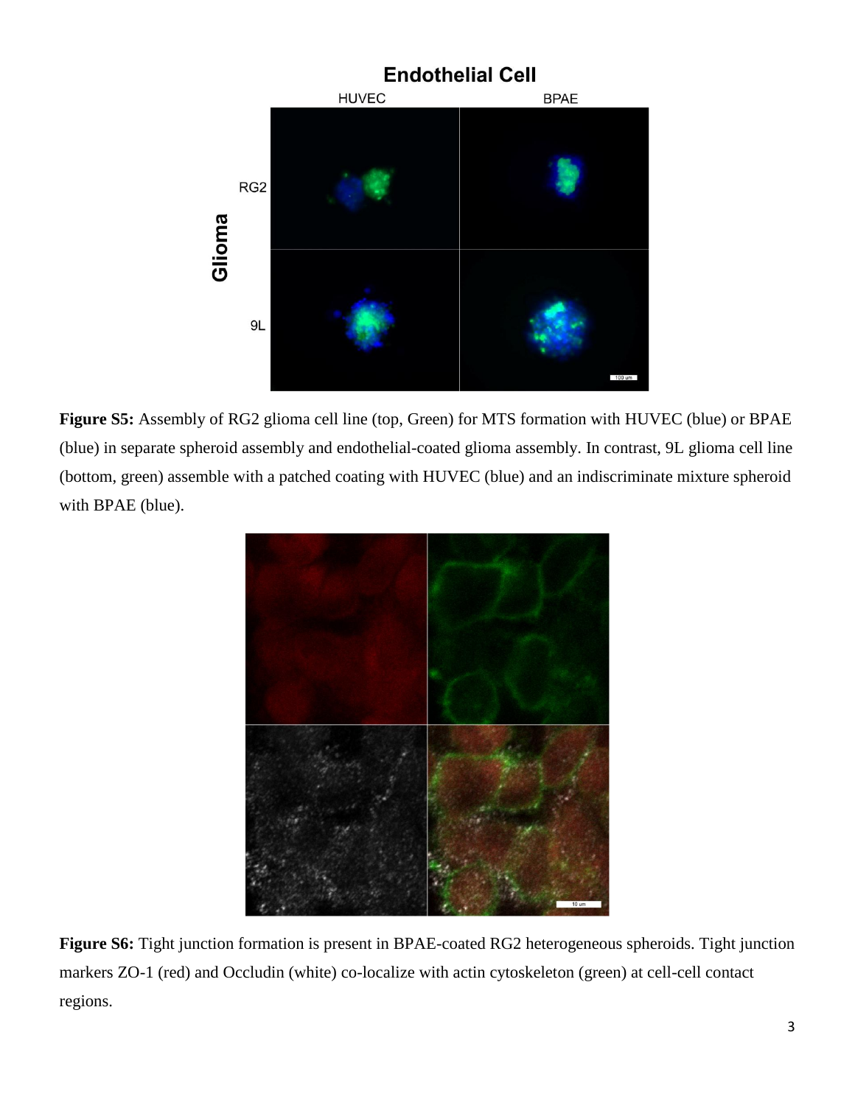

**Figure S5:** Assembly of RG2 glioma cell line (top, Green) for MTS formation with HUVEC (blue) or BPAE (blue) in separate spheroid assembly and endothelial-coated glioma assembly. In contrast, 9L glioma cell line (bottom, green) assemble with a patched coating with HUVEC (blue) and an indiscriminate mixture spheroid with BPAE (blue).



**Figure S6:** Tight junction formation is present in BPAE-coated RG2 heterogeneous spheroids. Tight junction markers ZO-1 (red) and Occludin (white) co-localize with actin cytoskeleton (green) at cell-cell contact regions.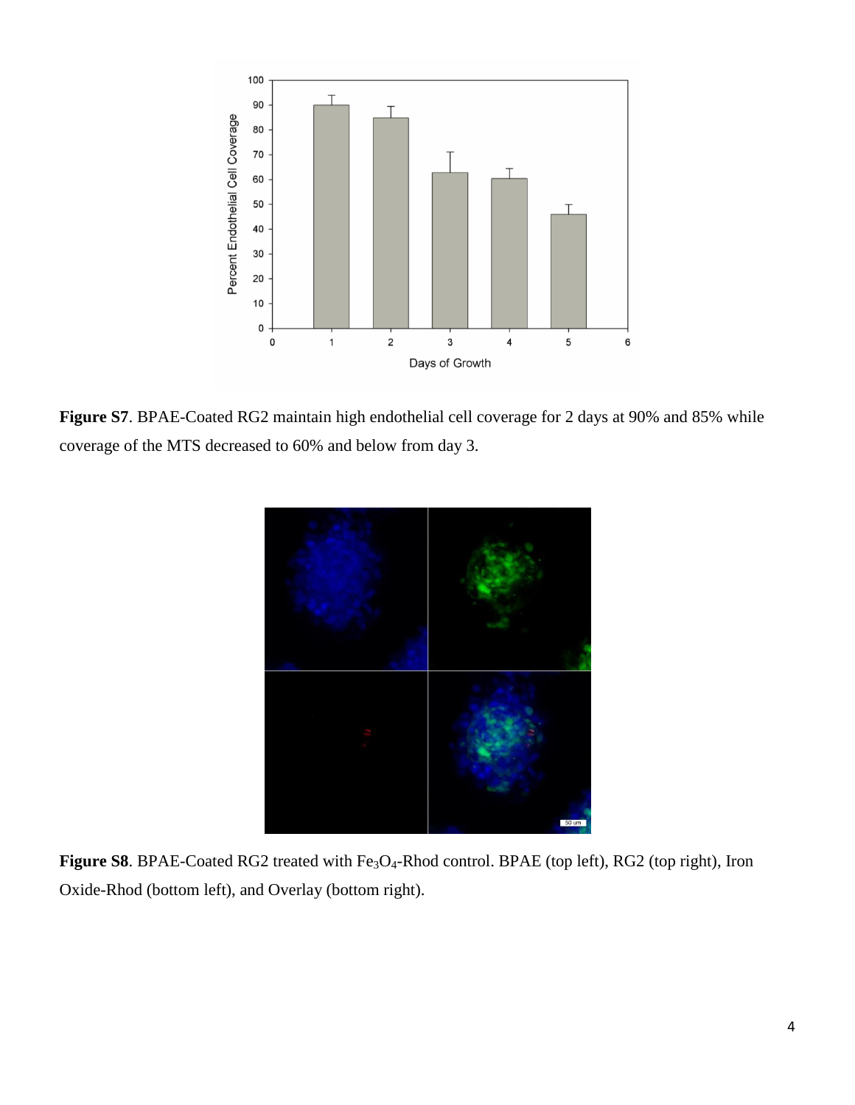

**Figure S7**. BPAE-Coated RG2 maintain high endothelial cell coverage for 2 days at 90% and 85% while coverage of the MTS decreased to 60% and below from day 3.



Figure S8. BPAE-Coated RG2 treated with Fe<sub>3</sub>O<sub>4</sub>-Rhod control. BPAE (top left), RG2 (top right), Iron Oxide-Rhod (bottom left), and Overlay (bottom right).